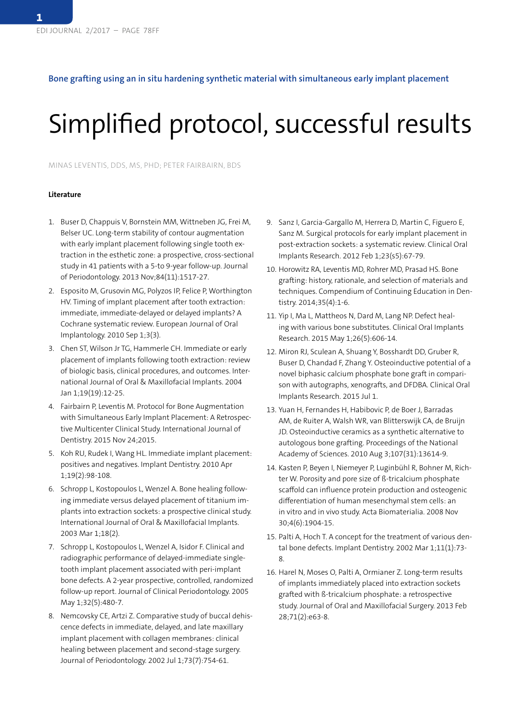## **Bone grafting using an in situ hardening synthetic material with simultaneous early implant placement**

## Simplified protocol, successful results

MINAS LEVENTIS, DDS, MS, PHD; PETER FAIRBAIRN, BDS

## **Literature**

- 1. Buser D, Chappuis V, Bornstein MM, Wittneben JG, Frei M, Belser UC. Long-term stability of contour augmentation with early implant placement following single tooth extraction in the esthetic zone: a prospective, cross-sectional study in 41 patients with a 5-to 9-year follow-up. Journal of Periodontology. 2013 Nov;84(11):1517-27.
- 2. Esposito M, Grusovin MG, Polyzos IP, Felice P, Worthington HV. Timing of implant placement after tooth extraction: immediate, immediate-delayed or delayed implants? A Cochrane systematic review. European Journal of Oral Implantology. 2010 Sep 1;3(3).
- 3. Chen ST, Wilson Jr TG, Hammerle CH. Immediate or early placement of implants following tooth extraction: review of biologic basis, clinical procedures, and outcomes. International Journal of Oral & Maxillofacial Implants. 2004 Jan 1;19(19):12-25.
- 4. Fairbairn P, Leventis M. Protocol for Bone Augmentation with Simultaneous Early Implant Placement: A Retrospective Multicenter Clinical Study. International Journal of Dentistry. 2015 Nov 24;2015.
- 5. Koh RU, Rudek I, Wang HL. Immediate implant placement: positives and negatives. Implant Dentistry. 2010 Apr 1;19(2):98-108.
- 6. Schropp L, Kostopoulos L, Wenzel A. Bone healing following immediate versus delayed placement of titanium implants into extraction sockets: a prospective clinical study. International Journal of Oral & Maxillofacial Implants. 2003 Mar 1;18(2).
- 7. Schropp L, Kostopoulos L, Wenzel A, Isidor F. Clinical and radiographic performance of delayed-immediate singletooth implant placement associated with peri-implant bone defects. A 2-year prospective, controlled, randomized follow-up report. Journal of Clinical Periodontology. 2005 May 1;32(5):480-7.
- 8. Nemcovsky CE, Artzi Z. Comparative study of buccal dehiscence defects in immediate, delayed, and late maxillary implant placement with collagen membranes: clinical healing between placement and second-stage surgery. Journal of Periodontology. 2002 Jul 1;73(7):754-61.
- 9. Sanz I, Garcia-Gargallo M, Herrera D, Martin C, Figuero E, Sanz M. Surgical protocols for early implant placement in post-extraction sockets: a systematic review. Clinical Oral Implants Research. 2012 Feb 1;23(s5):67-79.
- 10. Horowitz RA, Leventis MD, Rohrer MD, Prasad HS. Bone grafting: history, rationale, and selection of materials and techniques. Compendium of Continuing Education in Dentistry. 2014;35(4):1-6.
- 11. Yip I, Ma L, Mattheos N, Dard M, Lang NP. Defect healing with various bone substitutes. Clinical Oral Implants Research. 2015 May 1;26(5):606-14.
- 12. Miron RJ, Sculean A, Shuang Y, Bosshardt DD, Gruber R, Buser D, Chandad F, Zhang Y. Osteoinductive potential of a novel biphasic calcium phosphate bone graft in comparison with autographs, xenografts, and DFDBA. Clinical Oral Implants Research. 2015 Jul 1.
- 13. Yuan H, Fernandes H, Habibovic P, de Boer J, Barradas AM, de Ruiter A, Walsh WR, van Blitterswijk CA, de Bruijn JD. Osteoinductive ceramics as a synthetic alternative to autologous bone grafting. Proceedings of the National Academy of Sciences. 2010 Aug 3;107(31):13614-9.
- 14. Kasten P, Beyen I, Niemeyer P, Luginbühl R, Bohner M, Richter W. Porosity and pore size of ß-tricalcium phosphate scaffold can influence protein production and osteogenic differentiation of human mesenchymal stem cells: an in vitro and in vivo study. Acta Biomaterialia. 2008 Nov 30;4(6):1904-15.
- 15. Palti A, Hoch T. A concept for the treatment of various dental bone defects. Implant Dentistry. 2002 Mar 1;11(1):73- 8.
- 16. Harel N, Moses O, Palti A, Ormianer Z. Long-term results of implants immediately placed into extraction sockets grafted with ß-tricalcium phosphate: a retrospective study. Journal of Oral and Maxillofacial Surgery. 2013 Feb 28;71(2):e63-8.